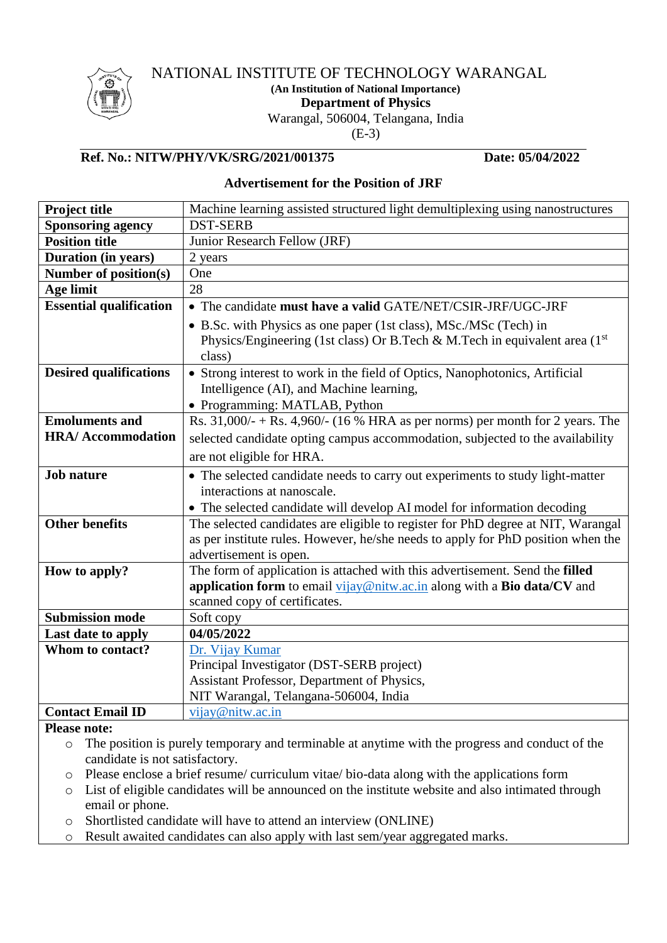

# NATIONAL INSTITUTE OF TECHNOLOGY WARANGAL

**(An Institution of National Importance)**

**Department of Physics**

Warangal, 506004, Telangana, India

(E-3)

# **Ref. No.: NITW/PHY/VK/SRG/2021/001375 Date: 05/04/2022**

# **Advertisement for the Position of JRF**

| Project title                  | Machine learning assisted structured light demultiplexing using nanostructures      |
|--------------------------------|-------------------------------------------------------------------------------------|
| <b>Sponsoring agency</b>       | <b>DST-SERB</b>                                                                     |
| <b>Position title</b>          | Junior Research Fellow (JRF)                                                        |
| <b>Duration (in years)</b>     | 2 years                                                                             |
| Number of position(s)          | One                                                                                 |
| <b>Age limit</b>               | 28                                                                                  |
| <b>Essential qualification</b> | • The candidate must have a valid GATE/NET/CSIR-JRF/UGC-JRF                         |
|                                | • B.Sc. with Physics as one paper (1st class), MSc./MSc (Tech) in                   |
|                                | Physics/Engineering (1st class) Or B.Tech & M.Tech in equivalent area $(1st)$       |
|                                | class)                                                                              |
| <b>Desired qualifications</b>  | • Strong interest to work in the field of Optics, Nanophotonics, Artificial         |
|                                | Intelligence (AI), and Machine learning,                                            |
|                                | • Programming: MATLAB, Python                                                       |
| <b>Emoluments and</b>          | Rs. $31,000/ - +$ Rs. $4,960/ - (16 % HRA as per norms)$ per month for 2 years. The |
| <b>HRA/Accommodation</b>       | selected candidate opting campus accommodation, subjected to the availability       |
|                                | are not eligible for HRA.                                                           |
| <b>Job nature</b>              | • The selected candidate needs to carry out experiments to study light-matter       |
|                                | interactions at nanoscale.                                                          |
|                                | • The selected candidate will develop AI model for information decoding             |
| <b>Other benefits</b>          | The selected candidates are eligible to register for PhD degree at NIT, Warangal    |
|                                | as per institute rules. However, he/she needs to apply for PhD position when the    |
|                                | advertisement is open.                                                              |
| How to apply?                  | The form of application is attached with this advertisement. Send the filled        |
|                                | application form to email vijay@nitw.ac.in along with a Bio data/CV and             |
|                                | scanned copy of certificates.                                                       |
| <b>Submission mode</b>         | Soft copy                                                                           |
| Last date to apply             | 04/05/2022                                                                          |
| Whom to contact?               | Dr. Vijay Kumar                                                                     |
|                                | Principal Investigator (DST-SERB project)                                           |
|                                | Assistant Professor, Department of Physics,                                         |
|                                | NIT Warangal, Telangana-506004, India                                               |
| <b>Contact Email ID</b>        | vijay@nitw.ac.in                                                                    |

### **Please note:**

- o The position is purely temporary and terminable at anytime with the progress and conduct of the candidate is not satisfactory.
- o Please enclose a brief resume/ curriculum vitae/ bio-data along with the applications form
- o List of eligible candidates will be announced on the institute website and also intimated through email or phone.
- o Shortlisted candidate will have to attend an interview (ONLINE)
- o Result awaited candidates can also apply with last sem/year aggregated marks.